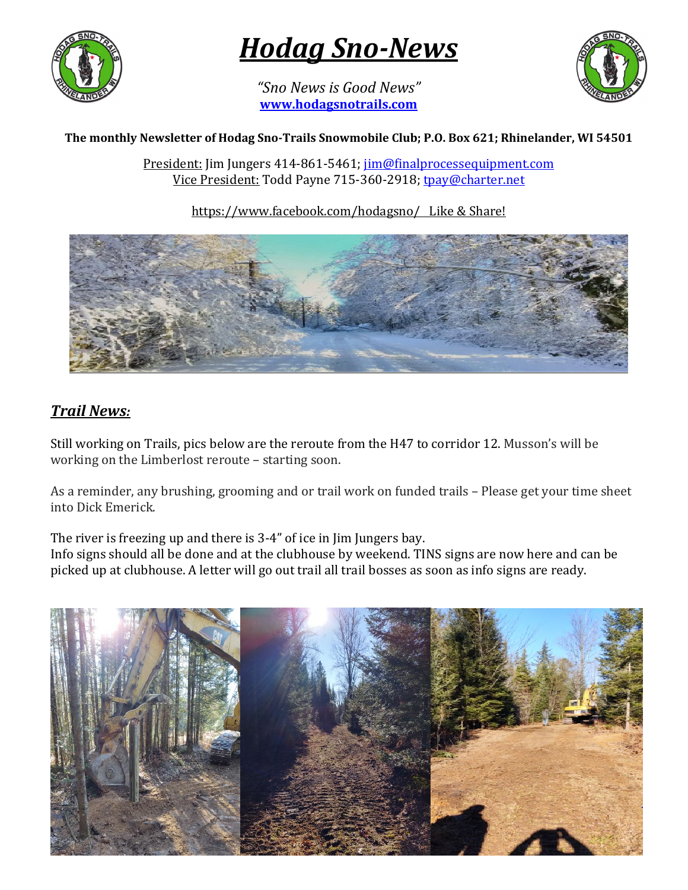

*Hodag Sno-News* 

*"Sno News is Good News"* **[www.hodagsnotrails.com](http://www.hodagsnotrails.com/)** 



#### **The monthly Newsletter of Hodag Sno-Trails Snowmobile Club; P.O. Box 621; Rhinelander, WI 54501**

President: Jim Jungers 414-861-5461; [jim@finalprocessequipment.com](mailto:jim@finalprocessequipment.com) Vice President: Todd Payne 715-360-2918; [tpay@charter.net](mailto:tpay@charter.net)

https://www.facebook.com/hodagsno/ Like & Share!



## *Trail News:*

Still working on Trails, pics below are the reroute from the H47 to corridor 12. Musson's will be working on the Limberlost reroute – starting soon.

As a reminder, any brushing, grooming and or trail work on funded trails – Please get your time sheet into Dick Emerick.

The river is freezing up and there is 3-4" of ice in Jim Jungers bay.

Info signs should all be done and at the clubhouse by weekend. TINS signs are now here and can be picked up at clubhouse. A letter will go out trail all trail bosses as soon as info signs are ready.

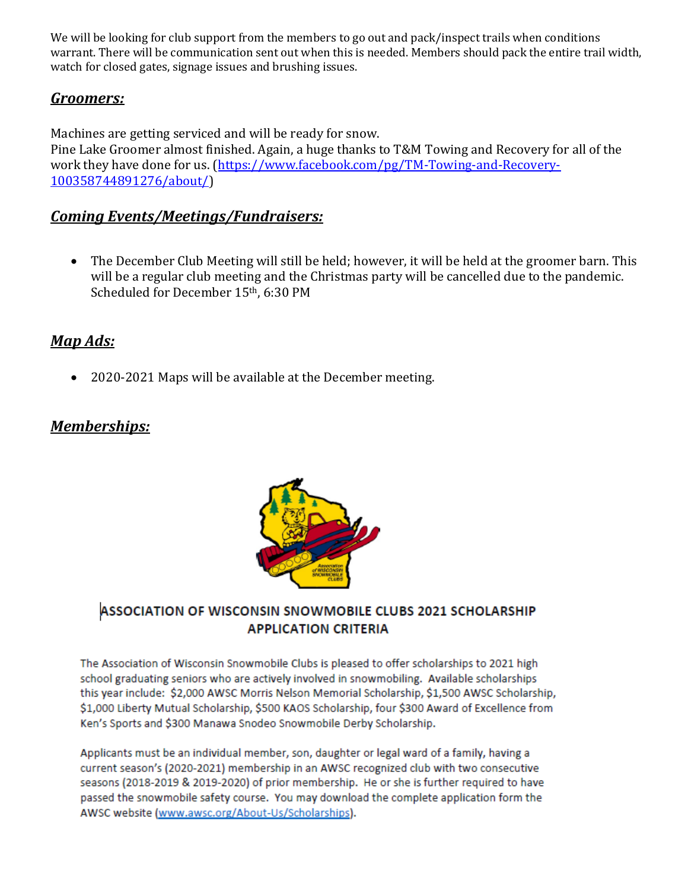We will be looking for club support from the members to go out and pack/inspect trails when conditions warrant. There will be communication sent out when this is needed. Members should pack the entire trail width, watch for closed gates, signage issues and brushing issues.

#### *Groomers:*

Machines are getting serviced and will be ready for snow.

Pine Lake Groomer almost finished. Again, a huge thanks to T&M Towing and Recovery for all of the work they have done for us. [\(https://www.facebook.com/pg/TM-Towing-and-Recovery-](https://www.facebook.com/pg/TM-Towing-and-Recovery-100358744891276/about/)[100358744891276/about/\)](https://www.facebook.com/pg/TM-Towing-and-Recovery-100358744891276/about/)

## *Coming Events/Meetings/Fundraisers:*

• The December Club Meeting will still be held; however, it will be held at the groomer barn. This will be a regular club meeting and the Christmas party will be cancelled due to the pandemic. Scheduled for December 15th, 6:30 PM

## *Map Ads:*

• 2020-2021 Maps will be available at the December meeting.

## *Memberships:*



#### ASSOCIATION OF WISCONSIN SNOWMOBILE CLUBS 2021 SCHOLARSHIP **APPLICATION CRITERIA**

The Association of Wisconsin Snowmobile Clubs is pleased to offer scholarships to 2021 high school graduating seniors who are actively involved in snowmobiling. Available scholarships this year include: \$2,000 AWSC Morris Nelson Memorial Scholarship, \$1,500 AWSC Scholarship, \$1,000 Liberty Mutual Scholarship, \$500 KAOS Scholarship, four \$300 Award of Excellence from Ken's Sports and \$300 Manawa Snodeo Snowmobile Derby Scholarship.

Applicants must be an individual member, son, daughter or legal ward of a family, having a current season's (2020-2021) membership in an AWSC recognized club with two consecutive seasons (2018-2019 & 2019-2020) of prior membership. He or she is further required to have passed the snowmobile safety course. You may download the complete application form the AWSC website (www.awsc.org/About-Us/Scholarships).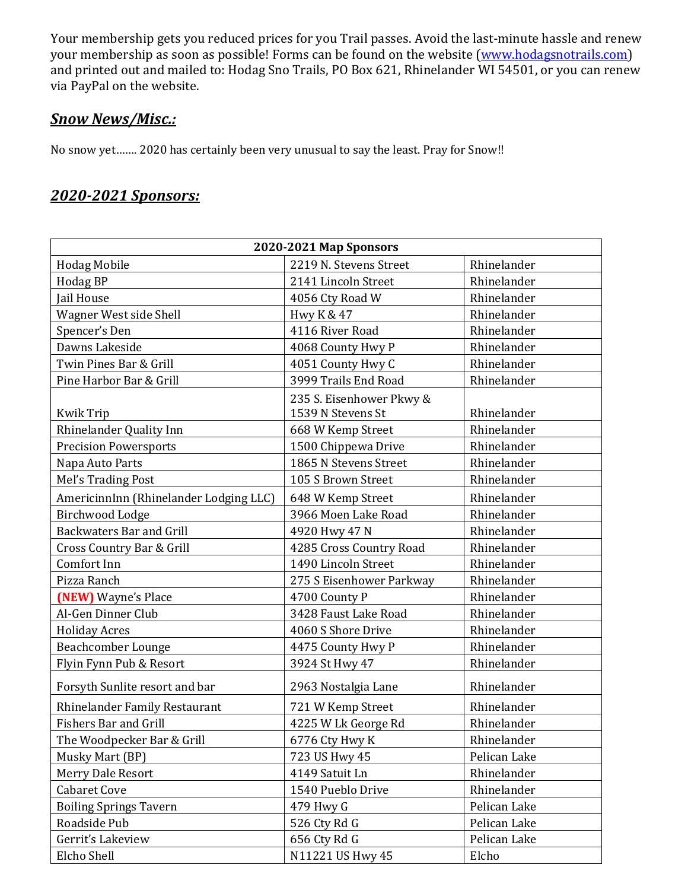Your membership gets you reduced prices for you Trail passes. Avoid the last-minute hassle and renew your membership as soon as possible! Forms can be found on the website [\(www.hodagsnotrails.com\)](http://www.hodagsnotrails.com/) and printed out and mailed to: Hodag Sno Trails, PO Box 621, Rhinelander WI 54501, or you can renew via PayPal on the website.

#### *Snow News/Misc.:*

No snow yet……. 2020 has certainly been very unusual to say the least. Pray for Snow!!

### *2020-2021 Sponsors:*

| 2020-2021 Map Sponsors                 |                                               |              |
|----------------------------------------|-----------------------------------------------|--------------|
| <b>Hodag Mobile</b>                    | 2219 N. Stevens Street                        | Rhinelander  |
| Hodag BP                               | 2141 Lincoln Street                           | Rhinelander  |
| Jail House                             | 4056 Cty Road W                               | Rhinelander  |
| Wagner West side Shell                 | Hwy K & 47                                    | Rhinelander  |
| Spencer's Den                          | 4116 River Road                               | Rhinelander  |
| Dawns Lakeside                         | 4068 County Hwy P                             | Rhinelander  |
| Twin Pines Bar & Grill                 | 4051 County Hwy C                             | Rhinelander  |
| Pine Harbor Bar & Grill                | 3999 Trails End Road                          | Rhinelander  |
| <b>Kwik Trip</b>                       | 235 S. Eisenhower Pkwy &<br>1539 N Stevens St | Rhinelander  |
| Rhinelander Quality Inn                | 668 W Kemp Street                             | Rhinelander  |
| <b>Precision Powersports</b>           | 1500 Chippewa Drive                           | Rhinelander  |
| Napa Auto Parts                        | 1865 N Stevens Street                         | Rhinelander  |
| Mel's Trading Post                     | 105 S Brown Street                            | Rhinelander  |
| AmericinnInn (Rhinelander Lodging LLC) | 648 W Kemp Street                             | Rhinelander  |
| Birchwood Lodge                        | 3966 Moen Lake Road                           | Rhinelander  |
| <b>Backwaters Bar and Grill</b>        | 4920 Hwy 47 N                                 | Rhinelander  |
| Cross Country Bar & Grill              | 4285 Cross Country Road                       | Rhinelander  |
| Comfort Inn                            | 1490 Lincoln Street                           | Rhinelander  |
| Pizza Ranch                            | 275 S Eisenhower Parkway                      | Rhinelander  |
| (NEW) Wayne's Place                    | 4700 County P                                 | Rhinelander  |
| Al-Gen Dinner Club                     | 3428 Faust Lake Road                          | Rhinelander  |
| <b>Holiday Acres</b>                   | 4060 S Shore Drive                            | Rhinelander  |
| Beachcomber Lounge                     | 4475 County Hwy P                             | Rhinelander  |
| Flyin Fynn Pub & Resort                | 3924 St Hwy 47                                | Rhinelander  |
| Forsyth Sunlite resort and bar         | 2963 Nostalgia Lane                           | Rhinelander  |
| Rhinelander Family Restaurant          | 721 W Kemp Street                             | Rhinelander  |
| <b>Fishers Bar and Grill</b>           | 4225 W Lk George Rd                           | Rhinelander  |
| The Woodpecker Bar & Grill             | 6776 Cty Hwy K                                | Rhinelander  |
| Musky Mart (BP)                        | 723 US Hwy 45                                 | Pelican Lake |
| Merry Dale Resort                      | 4149 Satuit Ln                                | Rhinelander  |
| <b>Cabaret Cove</b>                    | 1540 Pueblo Drive                             | Rhinelander  |
| <b>Boiling Springs Tavern</b>          | 479 Hwy G                                     | Pelican Lake |
| Roadside Pub                           | 526 Cty Rd G                                  | Pelican Lake |
| Gerrit's Lakeview                      | 656 Cty Rd G                                  | Pelican Lake |
| Elcho Shell                            | N11221 US Hwy 45                              | Elcho        |